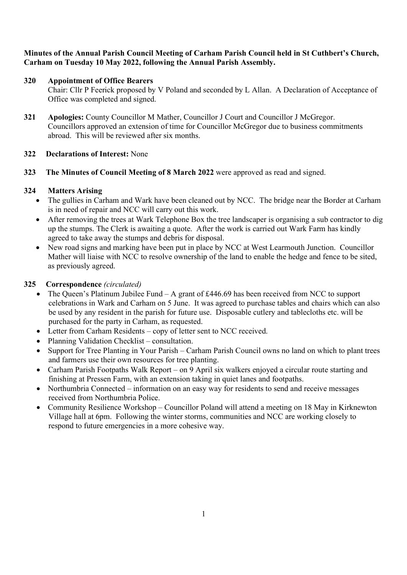## Minutes of the Annual Parish Council Meeting of Carham Parish Council held in St Cuthbert's Church, Carham on Tuesday 10 May 2022, following the Annual Parish Assembly.

# 320 Appointment of Office Bearers

Chair: Cllr P Feerick proposed by V Poland and seconded by L Allan. A Declaration of Acceptance of Office was completed and signed.

321 Apologies: County Councillor M Mather, Councillor J Court and Councillor J McGregor. Councillors approved an extension of time for Councillor McGregor due to business commitments abroad. This will be reviewed after six months.

## 322 Declarations of Interest: None

323 The Minutes of Council Meeting of 8 March 2022 were approved as read and signed.

## 324 Matters Arising

- The gullies in Carham and Wark have been cleaned out by NCC. The bridge near the Border at Carham is in need of repair and NCC will carry out this work.
- After removing the trees at Wark Telephone Box the tree landscaper is organising a sub contractor to dig up the stumps. The Clerk is awaiting a quote. After the work is carried out Wark Farm has kindly agreed to take away the stumps and debris for disposal.
- New road signs and marking have been put in place by NCC at West Learmouth Junction. Councillor Mather will liaise with NCC to resolve ownership of the land to enable the hedge and fence to be sited, as previously agreed.

## 325 Correspondence (circulated)

- The Queen's Platinum Jubilee Fund  $-A$  grant of £446.69 has been received from NCC to support celebrations in Wark and Carham on 5 June. It was agreed to purchase tables and chairs which can also be used by any resident in the parish for future use. Disposable cutlery and tablecloths etc. will be purchased for the party in Carham, as requested.
- Letter from Carham Residents copy of letter sent to NCC received.
- Planning Validation Checklist consultation.
- Support for Tree Planting in Your Parish Carham Parish Council owns no land on which to plant trees and farmers use their own resources for tree planting.
- Carham Parish Footpaths Walk Report on 9 April six walkers enjoyed a circular route starting and finishing at Pressen Farm, with an extension taking in quiet lanes and footpaths.
- Northumbria Connected information on an easy way for residents to send and receive messages received from Northumbria Police.
- Community Resilience Workshop Councillor Poland will attend a meeting on 18 May in Kirknewton Village hall at 6pm. Following the winter storms, communities and NCC are working closely to respond to future emergencies in a more cohesive way.